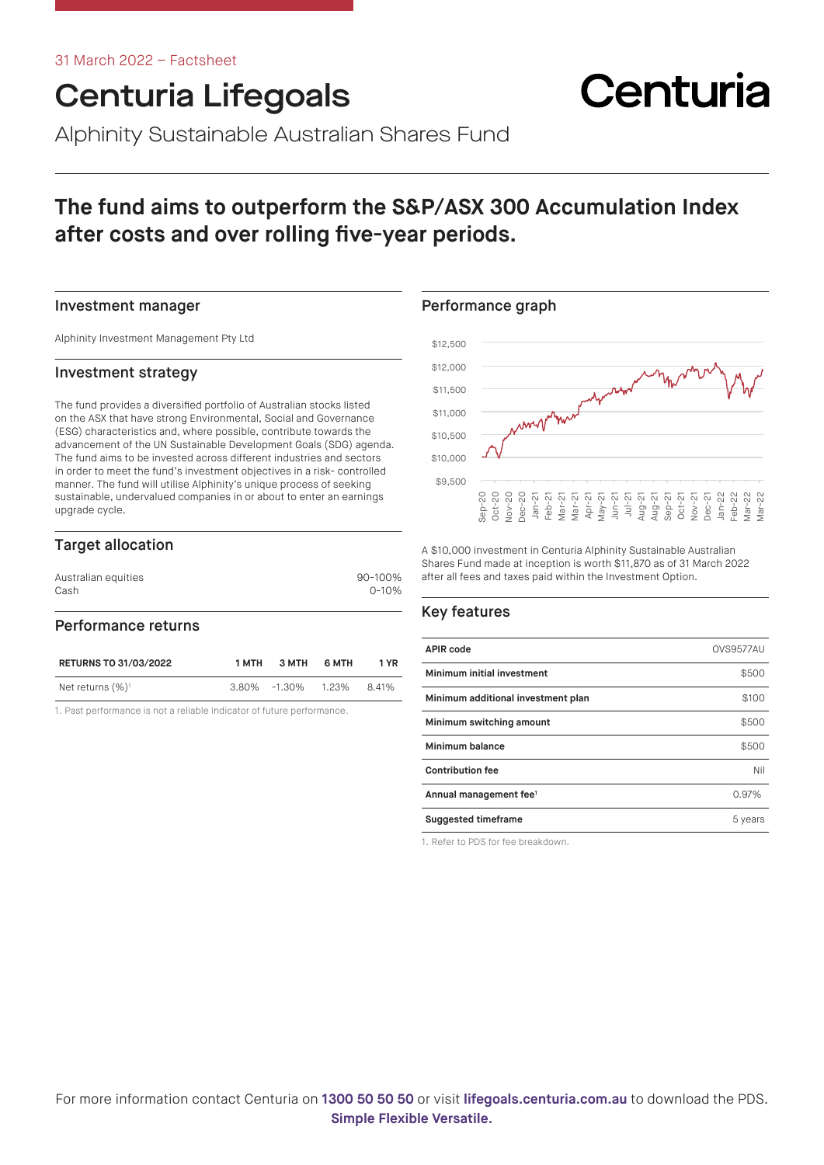# Centuria Lifegoals

Alphinity Sustainable Australian Shares Fund

# **The fund aims to outperform the S&P/ASX 300 Accumulation Index after costs and over rolling five-year periods.**

### Investment manager

Alphinity Investment Management Pty Ltd

### Investment strategy

The fund provides a diversified portfolio of Australian stocks listed on the ASX that have strong Environmental, Social and Governance (ESG) characteristics and, where possible, contribute towards the advancement of the UN Sustainable Development Goals (SDG) agenda. The fund aims to be invested across different industries and sectors in order to meet the fund's investment objectives in a risk- controlled manner. The fund will utilise Alphinity's unique process of seeking sustainable, undervalued companies in or about to enter an earnings upgrade cycle.

# Target allocation

| 90-100%   |
|-----------|
| $0 - 10%$ |
|           |

### Performance returns

| <b>RETURNS TO 31/03/2022</b> | 1 MTH | З МТН              | 6 MTH | 1 YR  |
|------------------------------|-------|--------------------|-------|-------|
| Net returns $(\%)^1$         |       | 3.80% -1.30% 1.23% |       | 8.41% |

1. Past performance is not a reliable indicator of future performance.

\$12,000 \$11,500 mp montani \$11,000 \$10,500 \$10,000 \$9,500 Sep-20 Oct-20 Nov-20 Dec-20 Jan-21 Feb-21 Mar-21 Mar-21 Apr-21 May-21 Jun-21 Jul-21 Aug-21 Aug-21 Sep-21 Oct-21 Nov-21 Dec-21 Jan-22 Feb-22 Mar-22 Mar-22

Centuria

A \$10,000 investment in Centuria Alphinity Sustainable Australian Shares Fund made at inception is worth \$11,870 as of 31 March 2022 after all fees and taxes paid within the Investment Option.

# Key features

Performance graph

\$12,500

| <b>APIR code</b>                   | OVS9577AU |
|------------------------------------|-----------|
| Minimum initial investment         | \$500     |
| Minimum additional investment plan | \$100     |
| Minimum switching amount           | \$500     |
| Minimum balance                    | \$500     |
| <b>Contribution fee</b>            | Nil       |
| Annual management fee <sup>1</sup> | 0.97%     |
| <b>Suggested timeframe</b>         | 5 years   |

1. Refer to PDS for fee breakdown.